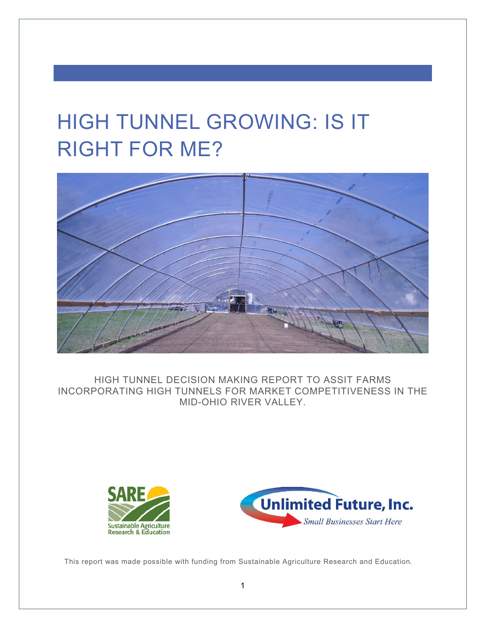# HIGH TUNNEL GROWING: IS IT RIGHT FOR ME?



HIGH TUNNEL DECISION MAKING REPORT TO ASSIST FARMS INCORPORATING HIGH TUNNELS FOR MARKET COMPETITIVENESS IN THE MID-OHIO RIVER VALLEY.





This report was made possible with funding from Sustainable Agriculture Research and Education.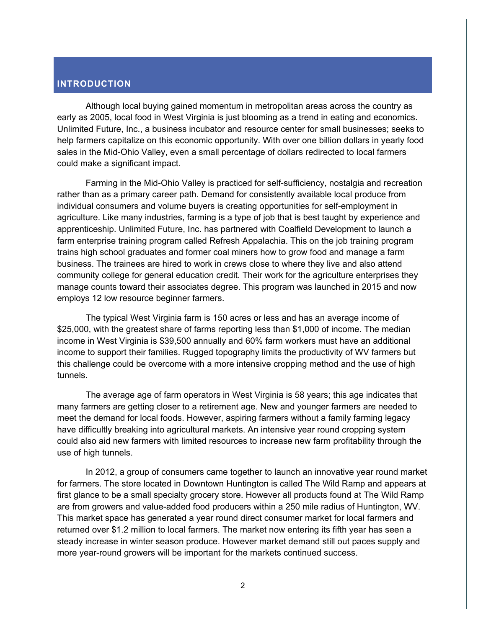# **INTRODUCTION**

Although local buying gained momentum in metropolitan areas across the country as early as 2005, local food in West Virginia is just blooming as a trend in eating and economics. Unlimited Future, Inc., a business incubator and resource center for small businesses; seeks to help farmers capitalize on this economic opportunity. With over one billion dollars in yearly food sales in the Mid-Ohio Valley, even a small percentage of dollars redirected to local farmers could make a significant impact.

Farming in the Mid-Ohio Valley is practiced for self-sufficiency, nostalgia and recreation rather than as a primary career path. Demand for consistently available local produce from individual consumers and volume buyers is creating opportunities for self-employment in agriculture. Like many industries, farming is a type of job that is best taught by experience and apprenticeship. Unlimited Future, Inc. has partnered with Coalfield Development to launch a farm enterprise training program called Refresh Appalachia. This on the job training program trains high school graduates and former coal miners how to grow food and manage a farm business. The trainees are hired to work in crews close to where they live and also attend community college for general education credit. Their work for the agriculture enterprises they manage counts toward their associates degree. This program was launched in 2015 and now employs 12 low resource beginner farmers.

The typical West Virginia farm is 150 acres or less and has an average income of \$25,000, with the greatest share of farms reporting less than \$1,000 of income. The median income in West Virginia is \$39,500 annually and 60% farm workers must have an additional income to support their families. Rugged topography limits the productivity of WV farmers but this challenge could be overcome with a more intensive cropping method and the use of high tunnels.

The average age of farm operators in West Virginia is 58 years; this age indicates that many farmers are getting closer to a retirement age. New and younger farmers are needed to meet the demand for local foods. However, aspiring farmers without a family farming legacy have difficultly breaking into agricultural markets. An intensive year round cropping system could also aid new farmers with limited resources to increase new farm profitability through the use of high tunnels.

In 2012, a group of consumers came together to launch an innovative year round market for farmers. The store located in Downtown Huntington is called The Wild Ramp and appears at first glance to be a small specialty grocery store. However all products found at The Wild Ramp are from growers and value-added food producers within a 250 mile radius of Huntington, WV. This market space has generated a year round direct consumer market for local farmers and returned over \$1.2 million to local farmers. The market now entering its fifth year has seen a steady increase in winter season produce. However market demand still out paces supply and more year-round growers will be important for the markets continued success.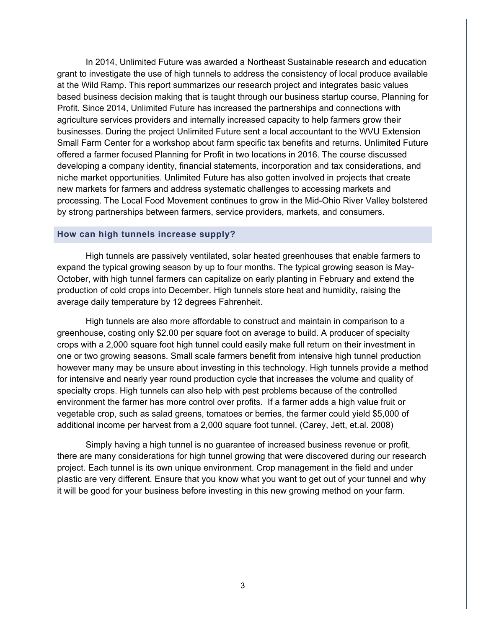In 2014, Unlimited Future was awarded a Northeast Sustainable research and education grant to investigate the use of high tunnels to address the consistency of local produce available at the Wild Ramp. This report summarizes our research project and integrates basic values based business decision making that is taught through our business startup course, Planning for Profit. Since 2014, Unlimited Future has increased the partnerships and connections with agriculture services providers and internally increased capacity to help farmers grow their businesses. During the project Unlimited Future sent a local accountant to the WVU Extension Small Farm Center for a workshop about farm specific tax benefits and returns. Unlimited Future offered a farmer focused Planning for Profit in two locations in 2016. The course discussed developing a company identity, financial statements, incorporation and tax considerations, and niche market opportunities. Unlimited Future has also gotten involved in projects that create new markets for farmers and address systematic challenges to accessing markets and processing. The Local Food Movement continues to grow in the Mid-Ohio River Valley bolstered by strong partnerships between farmers, service providers, markets, and consumers.

#### **How can high tunnels increase supply?**

High tunnels are passively ventilated, solar heated greenhouses that enable farmers to expand the typical growing season by up to four months. The typical growing season is May-October, with high tunnel farmers can capitalize on early planting in February and extend the production of cold crops into December. High tunnels store heat and humidity, raising the average daily temperature by 12 degrees Fahrenheit.

High tunnels are also more affordable to construct and maintain in comparison to a greenhouse, costing only \$2.00 per square foot on average to build. A producer of specialty crops with a 2,000 square foot high tunnel could easily make full return on their investment in one or two growing seasons. Small scale farmers benefit from intensive high tunnel production however many may be unsure about investing in this technology. High tunnels provide a method for intensive and nearly year round production cycle that increases the volume and quality of specialty crops. High tunnels can also help with pest problems because of the controlled environment the farmer has more control over profits. If a farmer adds a high value fruit or vegetable crop, such as salad greens, tomatoes or berries, the farmer could yield \$5,000 of additional income per harvest from a 2,000 square foot tunnel. (Carey, Jett, et.al. 2008)

Simply having a high tunnel is no guarantee of increased business revenue or profit, there are many considerations for high tunnel growing that were discovered during our research project. Each tunnel is its own unique environment. Crop management in the field and under plastic are very different. Ensure that you know what you want to get out of your tunnel and why it will be good for your business before investing in this new growing method on your farm.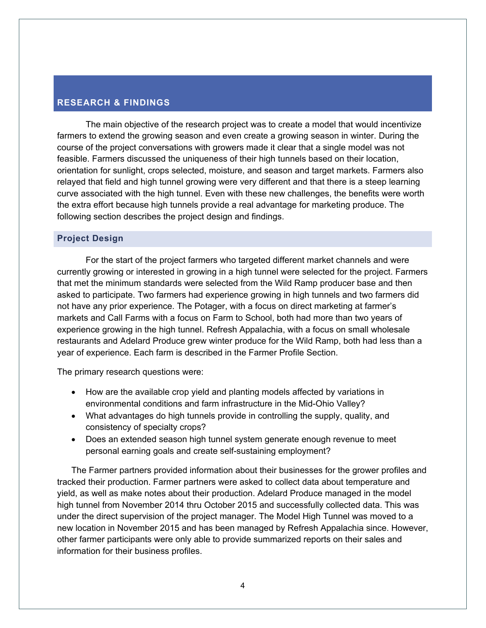# **RESEARCH & FINDINGS**

The main objective of the research project was to create a model that would incentivize farmers to extend the growing season and even create a growing season in winter. During the course of the project conversations with growers made it clear that a single model was not feasible. Farmers discussed the uniqueness of their high tunnels based on their location, orientation for sunlight, crops selected, moisture, and season and target markets. Farmers also relayed that field and high tunnel growing were very different and that there is a steep learning curve associated with the high tunnel. Even with these new challenges, the benefits were worth the extra effort because high tunnels provide a real advantage for marketing produce. The following section describes the project design and findings.

# **Project Design**

For the start of the project farmers who targeted different market channels and were currently growing or interested in growing in a high tunnel were selected for the project. Farmers that met the minimum standards were selected from the Wild Ramp producer base and then asked to participate. Two farmers had experience growing in high tunnels and two farmers did not have any prior experience. The Potager, with a focus on direct marketing at farmer's markets and Call Farms with a focus on Farm to School, both had more than two years of experience growing in the high tunnel. Refresh Appalachia, with a focus on small wholesale restaurants and Adelard Produce grew winter produce for the Wild Ramp, both had less than a year of experience. Each farm is described in the Farmer Profile Section.

The primary research questions were:

- How are the available crop yield and planting models affected by variations in environmental conditions and farm infrastructure in the Mid-Ohio Valley?
- What advantages do high tunnels provide in controlling the supply, quality, and consistency of specialty crops?
- Does an extended season high tunnel system generate enough revenue to meet personal earning goals and create self-sustaining employment?

The Farmer partners provided information about their businesses for the grower profiles and tracked their production. Farmer partners were asked to collect data about temperature and yield, as well as make notes about their production. Adelard Produce managed in the model high tunnel from November 2014 thru October 2015 and successfully collected data. This was under the direct supervision of the project manager. The Model High Tunnel was moved to a new location in November 2015 and has been managed by Refresh Appalachia since. However, other farmer participants were only able to provide summarized reports on their sales and information for their business profiles.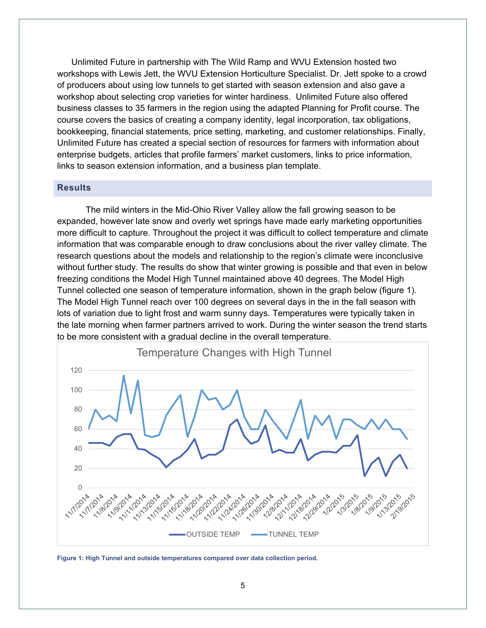Unlimited Future in partnership with The Wild Ramp and WVU Extension hosted two workshops with Lewis Jett, the WVU Extension Horticulture Specialist. Dr. Jett spoke to a crowd of producers about using low tunnels to get started with season extension and also gave a workshop about selecting crop varieties for winter hardiness. Unlimited Future also offered business classes to 35 farmers in the region using the adapted Planning for Profit course. The course covers the basics of creating a company identity, legal incorporation, tax obligations, bookkeeping, financial statements, price setting, marketing, and customer relationships. Finally, Unlimited Future has created a special section of resources for farmers with information about enterprise budgets, articles that profile farmers' market customers, links to price information, links to season extension information, and a business plan template.

## **Results**

The mild winters in the Mid-Ohio River Valley allow the fall growing season to be expanded, however late snow and overly wet springs have made early marketing opportunities more difficult to capture. Throughout the project it was difficult to collect temperature and climate information that was comparable enough to draw conclusions about the river valley climate. The research questions about the models and relationship to the region's climate were inconclusive without further study. The results do show that winter growing is possible and that even in below freezing conditions the Model High Tunnel maintained above 40 degrees. The Model High Tunnel collected one season of temperature information, shown in the graph below (figure 1). The Model High Tunnel reach over 100 degrees on several days in the in the fall season with lots of variation due to light frost and warm sunny days. Temperatures were typically taken in the late morning when farmer partners arrived to work. During the winter season the trend starts to be more consistent with a gradual decline in the overall temperature.



**Figure 1: High Tunnel and outside temperatures compared over data collection period.**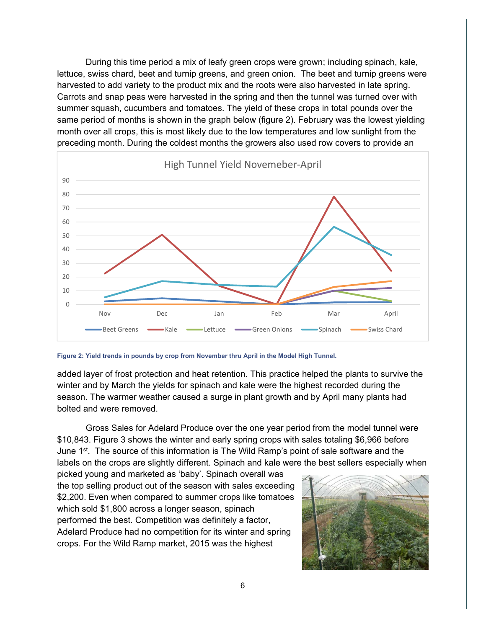During this time period a mix of leafy green crops were grown; including spinach, kale, lettuce, swiss chard, beet and turnip greens, and green onion. The beet and turnip greens were harvested to add variety to the product mix and the roots were also harvested in late spring. Carrots and snap peas were harvested in the spring and then the tunnel was turned over with summer squash, cucumbers and tomatoes. The yield of these crops in total pounds over the same period of months is shown in the graph below (figure 2). February was the lowest yielding month over all crops, this is most likely due to the low temperatures and low sunlight from the preceding month. During the coldest months the growers also used row covers to provide an



**Figure 2: Yield trends in pounds by crop from November thru April in the Model High Tunnel.** 

added layer of frost protection and heat retention. This practice helped the plants to survive the winter and by March the yields for spinach and kale were the highest recorded during the season. The warmer weather caused a surge in plant growth and by April many plants had bolted and were removed.

Gross Sales for Adelard Produce over the one year period from the model tunnel were \$10,843. Figure 3 shows the winter and early spring crops with sales totaling \$6,966 before June 1<sup>st</sup>. The source of this information is The Wild Ramp's point of sale software and the labels on the crops are slightly different. Spinach and kale were the best sellers especially when

picked young and marketed as 'baby'. Spinach overall was the top selling product out of the season with sales exceeding \$2,200. Even when compared to summer crops like tomatoes which sold \$1,800 across a longer season, spinach performed the best. Competition was definitely a factor, Adelard Produce had no competition for its winter and spring crops. For the Wild Ramp market, 2015 was the highest

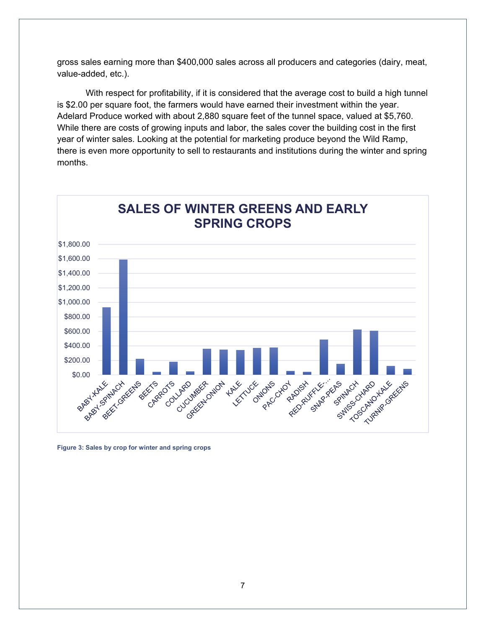gross sales earning more than \$400,000 sales across all producers and categories (dairy, meat, value-added, etc.).

With respect for profitability, if it is considered that the average cost to build a high tunnel is \$2.00 per square foot, the farmers would have earned their investment within the year. Adelard Produce worked with about 2,880 square feet of the tunnel space, valued at \$5,760. While there are costs of growing inputs and labor, the sales cover the building cost in the first year of winter sales. Looking at the potential for marketing produce beyond the Wild Ramp, there is even more opportunity to sell to restaurants and institutions during the winter and spring months.



**Figure 3: Sales by crop for winter and spring crops**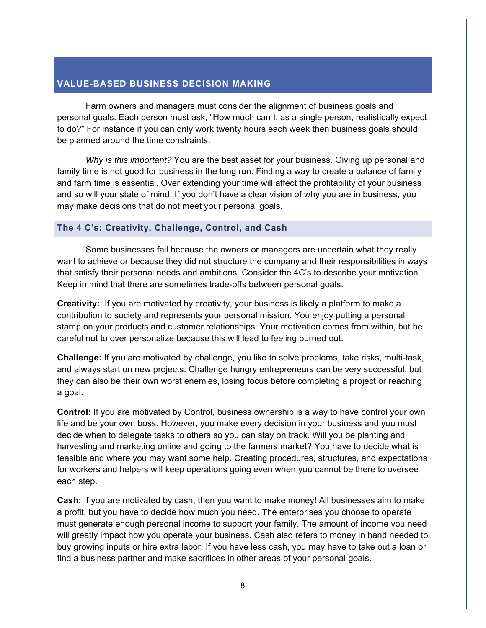# **VALUE-BASED BUSINESS DECISION MAKING**

Farm owners and managers must consider the alignment of business goals and personal goals. Each person must ask, "How much can I, as a single person, realistically expect to do?" For instance if you can only work twenty hours each week then business goals should be planned around the time constraints.

*Why is this important?* You are the best asset for your business. Giving up personal and family time is not good for business in the long run. Finding a way to create a balance of family and farm time is essential. Over extending your time will affect the profitability of your business and so will your state of mind. If you don't have a clear vision of why you are in business, you may make decisions that do not meet your personal goals.

## **The 4 C's: Creativity, Challenge, Control, and Cash**

Some businesses fail because the owners or managers are uncertain what they really want to achieve or because they did not structure the company and their responsibilities in ways that satisfy their personal needs and ambitions. Consider the 4C's to describe your motivation. Keep in mind that there are sometimes trade-offs between personal goals.

**Creativity:** If you are motivated by creativity, your business is likely a platform to make a contribution to society and represents your personal mission. You enjoy putting a personal stamp on your products and customer relationships. Your motivation comes from within, but be careful not to over personalize because this will lead to feeling burned out.

**Challenge:** If you are motivated by challenge, you like to solve problems, take risks, multi-task, and always start on new projects. Challenge hungry entrepreneurs can be very successful, but they can also be their own worst enemies, losing focus before completing a project or reaching a goal.

**Control:** If you are motivated by Control, business ownership is a way to have control your own life and be your own boss. However, you make every decision in your business and you must decide when to delegate tasks to others so you can stay on track. Will you be planting and harvesting and marketing online and going to the farmers market? You have to decide what is feasible and where you may want some help. Creating procedures, structures, and expectations for workers and helpers will keep operations going even when you cannot be there to oversee each step.

**Cash:** If you are motivated by cash, then you want to make money! All businesses aim to make a profit, but you have to decide how much you need. The enterprises you choose to operate must generate enough personal income to support your family. The amount of income you need will greatly impact how you operate your business. Cash also refers to money in hand needed to buy growing inputs or hire extra labor. If you have less cash, you may have to take out a loan or find a business partner and make sacrifices in other areas of your personal goals.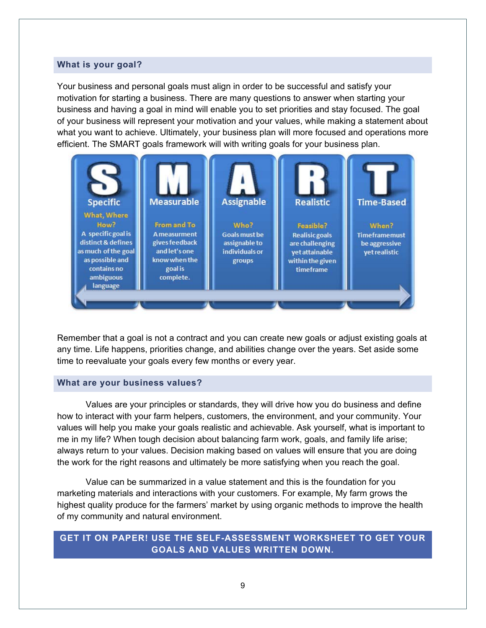## **What is your goal?**

Your business and personal goals must align in order to be successful and satisfy your motivation for starting a business. There are many questions to answer when starting your business and having a goal in mind will enable you to set priorities and stay focused. The goal of your business will represent your motivation and your values, while making a statement about what you want to achieve. Ultimately, your business plan will more focused and operations more efficient. The SMART goals framework will with writing goals for your business plan.



Remember that a goal is not a contract and you can create new goals or adjust existing goals at any time. Life happens, priorities change, and abilities change over the years. Set aside some time to reevaluate your goals every few months or every year.

#### **What are your business values?**

Values are your principles or standards, they will drive how you do business and define how to interact with your farm helpers, customers, the environment, and your community. Your values will help you make your goals realistic and achievable. Ask yourself, what is important to me in my life? When tough decision about balancing farm work, goals, and family life arise; always return to your values. Decision making based on values will ensure that you are doing the work for the right reasons and ultimately be more satisfying when you reach the goal.

Value can be summarized in a value statement and this is the foundation for you marketing materials and interactions with your customers. For example, My farm grows the highest quality produce for the farmers' market by using organic methods to improve the health of my community and natural environment.

# **GET IT ON PAPER! USE THE SELF-ASSESSMENT WORKSHEET TO GET YOUR GOALS AND VALUES WRITTEN DOWN.**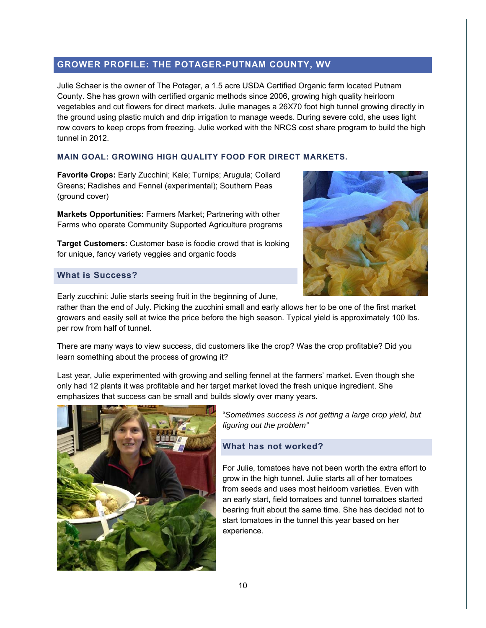# **GROWER PROFILE: THE POTAGER-PUTNAM COUNTY, WV**

Julie Schaer is the owner of The Potager, a 1.5 acre USDA Certified Organic farm located Putnam County. She has grown with certified organic methods since 2006, growing high quality heirloom vegetables and cut flowers for direct markets. Julie manages a 26X70 foot high tunnel growing directly in the ground using plastic mulch and drip irrigation to manage weeds. During severe cold, she uses light row covers to keep crops from freezing. Julie worked with the NRCS cost share program to build the high tunnel in 2012.

## **MAIN GOAL: GROWING HIGH QUALITY FOOD FOR DIRECT MARKETS.**

**Favorite Crops:** Early Zucchini; Kale; Turnips; Arugula; Collard Greens; Radishes and Fennel (experimental); Southern Peas (ground cover)

**Markets Opportunities:** Farmers Market; Partnering with other Farms who operate Community Supported Agriculture programs



# **Target Customers:** Customer base is foodie crowd that is looking for unique, fancy variety veggies and organic foods

# **What is Success?**

Early zucchini: Julie starts seeing fruit in the beginning of June,

rather than the end of July. Picking the zucchini small and early allows her to be one of the first market growers and easily sell at twice the price before the high season. Typical yield is approximately 100 lbs. per row from half of tunnel.

There are many ways to view success, did customers like the crop? Was the crop profitable? Did you learn something about the process of growing it?

Last year, Julie experimented with growing and selling fennel at the farmers' market. Even though she only had 12 plants it was profitable and her target market loved the fresh unique ingredient. She emphasizes that success can be small and builds slowly over many years.



"*Sometimes success is not getting a large crop yield, but figuring out the problem"* 

# **What has not worked?**

For Julie, tomatoes have not been worth the extra effort to grow in the high tunnel. Julie starts all of her tomatoes from seeds and uses most heirloom varieties. Even with an early start, field tomatoes and tunnel tomatoes started bearing fruit about the same time. She has decided not to start tomatoes in the tunnel this year based on her experience.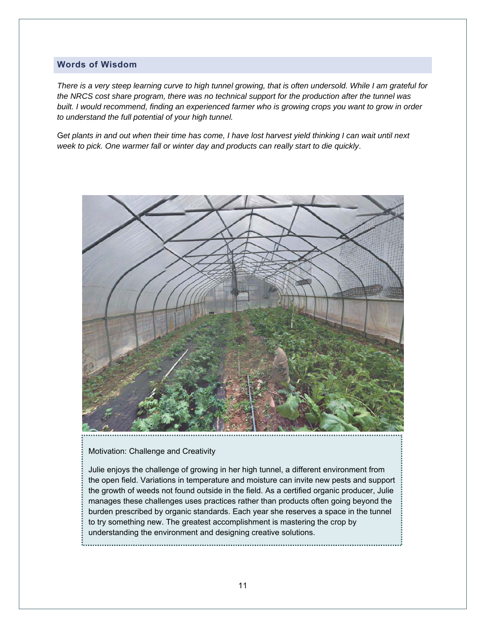## **Words of Wisdom**

*There is a very steep learning curve to high tunnel growing, that is often undersold. While I am grateful for the NRCS cost share program, there was no technical support for the production after the tunnel was built. I would recommend, finding an experienced farmer who is growing crops you want to grow in order to understand the full potential of your high tunnel.* 

G*et plants in and out when their time has come, I have lost harvest yield thinking I can wait until next week to pick. One warmer fall or winter day and products can really start to die quickly*.



Motivation: Challenge and Creativity

Julie enjoys the challenge of growing in her high tunnel, a different environment from the open field. Variations in temperature and moisture can invite new pests and support the growth of weeds not found outside in the field. As a certified organic producer, Julie manages these challenges uses practices rather than products often going beyond the burden prescribed by organic standards. Each year she reserves a space in the tunnel to try something new. The greatest accomplishment is mastering the crop by understanding the environment and designing creative solutions.

11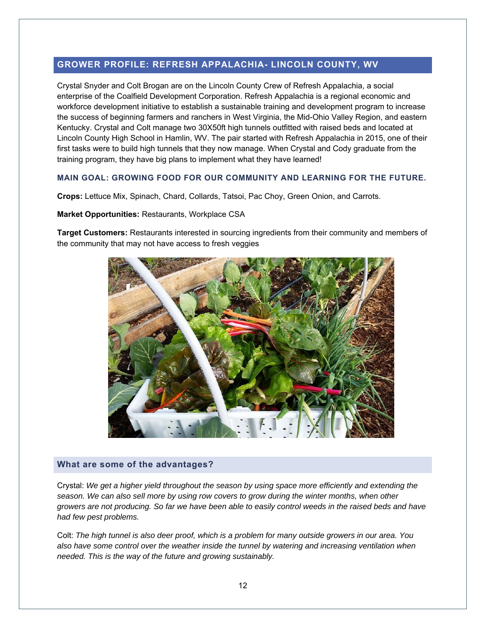# **GROWER PROFILE: REFRESH APPALACHIA- LINCOLN COUNTY, WV**

Crystal Snyder and Colt Brogan are on the Lincoln County Crew of Refresh Appalachia, a social enterprise of the Coalfield Development Corporation. Refresh Appalachia is a regional economic and workforce development initiative to establish a sustainable training and development program to increase the success of beginning farmers and ranchers in West Virginia, the Mid-Ohio Valley Region, and eastern Kentucky. Crystal and Colt manage two 30X50ft high tunnels outfitted with raised beds and located at Lincoln County High School in Hamlin, WV. The pair started with Refresh Appalachia in 2015, one of their first tasks were to build high tunnels that they now manage. When Crystal and Cody graduate from the training program, they have big plans to implement what they have learned!

#### **MAIN GOAL: GROWING FOOD FOR OUR COMMUNITY AND LEARNING FOR THE FUTURE.**

**Crops:** Lettuce Mix, Spinach, Chard, Collards, Tatsoi, Pac Choy, Green Onion, and Carrots.

**Market Opportunities:** Restaurants, Workplace CSA

**Target Customers:** Restaurants interested in sourcing ingredients from their community and members of the community that may not have access to fresh veggies



#### **What are some of the advantages?**

Crystal: *We get a higher yield throughout the season by using space more efficiently and extending the season. We can also sell more by using row covers to grow during the winter months, when other growers are not producing. So far we have been able to easily control weeds in the raised beds and have had few pest problems.* 

Colt: *The high tunnel is also deer proof, which is a problem for many outside growers in our area. You also have some control over the weather inside the tunnel by watering and increasing ventilation when needed. This is the way of the future and growing sustainably.*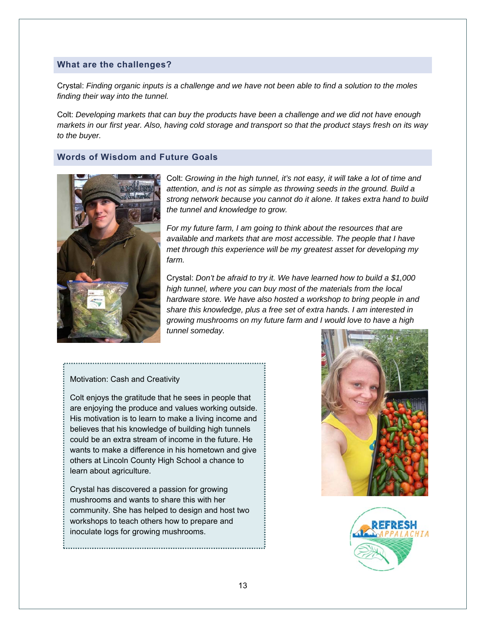## **What are the challenges?**

Crystal: *Finding organic inputs is a challenge and we have not been able to find a solution to the moles finding their way into the tunnel.* 

Colt: *Developing markets that can buy the products have been a challenge and we did not have enough markets in our first year. Also, having cold storage and transport so that the product stays fresh on its way to the buyer.* 

## **Words of Wisdom and Future Goals**



Colt: *Growing in the high tunnel, it's not easy, it will take a lot of time and attention, and is not as simple as throwing seeds in the ground. Build a strong network because you cannot do it alone. It takes extra hand to build the tunnel and knowledge to grow.* 

*For my future farm, I am going to think about the resources that are available and markets that are most accessible. The people that I have met through this experience will be my greatest asset for developing my farm.* 

Crystal: *Don't be afraid to try it. We have learned how to build a \$1,000 high tunnel, where you can buy most of the materials from the local hardware store. We have also hosted a workshop to bring people in and share this knowledge, plus a free set of extra hands. I am interested in growing mushrooms on my future farm and I would love to have a high tunnel someday.* 

#### Motivation: Cash and Creativity

--------------------------------

Colt enjoys the gratitude that he sees in people that are enjoying the produce and values working outside. His motivation is to learn to make a living income and believes that his knowledge of building high tunnels could be an extra stream of income in the future. He wants to make a difference in his hometown and give others at Lincoln County High School a chance to learn about agriculture.

Crystal has discovered a passion for growing mushrooms and wants to share this with her community. She has helped to design and host two workshops to teach others how to prepare and inoculate logs for growing mushrooms.



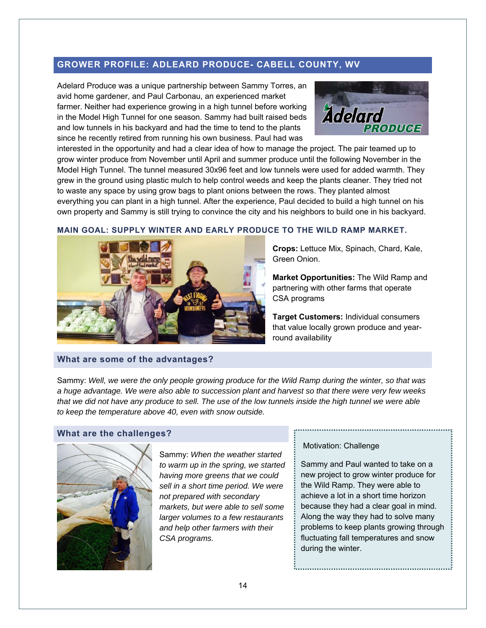# **GROWER PROFILE: ADLEARD PRODUCE- CABELL COUNTY, WV**

Adelard Produce was a unique partnership between Sammy Torres, an avid home gardener, and Paul Carbonau, an experienced market farmer. Neither had experience growing in a high tunnel before working in the Model High Tunnel for one season. Sammy had built raised beds and low tunnels in his backyard and had the time to tend to the plants since he recently retired from running his own business. Paul had was



interested in the opportunity and had a clear idea of how to manage the project. The pair teamed up to grow winter produce from November until April and summer produce until the following November in the Model High Tunnel. The tunnel measured 30x96 feet and low tunnels were used for added warmth. They grew in the ground using plastic mulch to help control weeds and keep the plants cleaner. They tried not to waste any space by using grow bags to plant onions between the rows. They planted almost everything you can plant in a high tunnel. After the experience, Paul decided to build a high tunnel on his own property and Sammy is still trying to convince the city and his neighbors to build one in his backyard.





**Crops:** Lettuce Mix, Spinach, Chard, Kale, Green Onion.

**Market Opportunities:** The Wild Ramp and partnering with other farms that operate CSA programs

**Target Customers:** Individual consumers that value locally grown produce and yearround availability

## **What are some of the advantages?**

Sammy: *Well, we were the only people growing produce for the Wild Ramp during the winter, so that was a huge advantage. We were also able to succession plant and harvest so that there were very few weeks that we did not have any produce to sell. The use of the low tunnels inside the high tunnel we were able to keep the temperature above 40, even with snow outside.* 

#### **What are the challenges?**



Sammy: *When the weather started to warm up in the spring, we started having more greens that we could sell in a short time period. We were not prepared with secondary markets, but were able to sell some larger volumes to a few restaurants and help other farmers with their CSA programs.* 

#### Motivation: Challenge

Sammy and Paul wanted to take on a new project to grow winter produce for the Wild Ramp. They were able to achieve a lot in a short time horizon because they had a clear goal in mind. Along the way they had to solve many problems to keep plants growing through fluctuating fall temperatures and snow during the winter.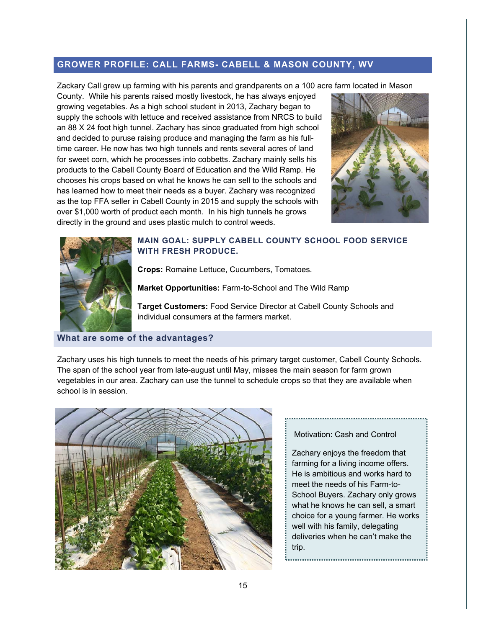# **GROWER PROFILE: CALL FARMS- CABELL & MASON COUNTY, WV**

Zackary Call grew up farming with his parents and grandparents on a 100 acre farm located in Mason

County. While his parents raised mostly livestock, he has always enjoyed growing vegetables. As a high school student in 2013, Zachary began to supply the schools with lettuce and received assistance from NRCS to build an 88 X 24 foot high tunnel. Zachary has since graduated from high school and decided to puruse raising produce and managing the farm as his fulltime career. He now has two high tunnels and rents several acres of land for sweet corn, which he processes into cobbetts. Zachary mainly sells his products to the Cabell County Board of Education and the Wild Ramp. He chooses his crops based on what he knows he can sell to the schools and has learned how to meet their needs as a buyer. Zachary was recognized as the top FFA seller in Cabell County in 2015 and supply the schools with over \$1,000 worth of product each month. In his high tunnels he grows directly in the ground and uses plastic mulch to control weeds.





# **MAIN GOAL: SUPPLY CABELL COUNTY SCHOOL FOOD SERVICE WITH FRESH PRODUCE.**

**Crops:** Romaine Lettuce, Cucumbers, Tomatoes.

**Market Opportunities:** Farm-to-School and The Wild Ramp

**Target Customers:** Food Service Director at Cabell County Schools and individual consumers at the farmers market.

# **What are some of the advantages?**

Zachary uses his high tunnels to meet the needs of his primary target customer, Cabell County Schools. The span of the school year from late-august until May, misses the main season for farm grown vegetables in our area. Zachary can use the tunnel to schedule crops so that they are available when school is in session.



## Motivation: Cash and Control

Zachary enjoys the freedom that farming for a living income offers. He is ambitious and works hard to meet the needs of his Farm-to-School Buyers. Zachary only grows what he knows he can sell, a smart choice for a young farmer. He works well with his family, delegating deliveries when he can't make the trip.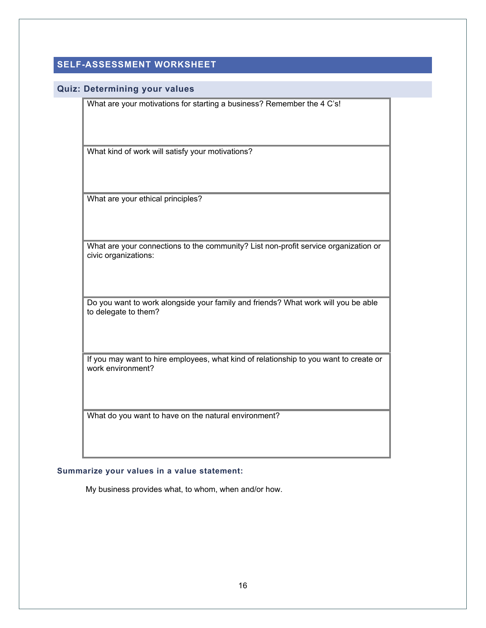# **SELF-ASSESSMENT WORKSHEET**

#### **Quiz: Determining your values**

What are your motivations for starting a business? Remember the 4 C's!

What kind of work will satisfy your motivations?

What are your ethical principles?

What are your connections to the community? List non-profit service organization or civic organizations:

Do you want to work alongside your family and friends? What work will you be able to delegate to them?

If you may want to hire employees, what kind of relationship to you want to create or work environment?

What do you want to have on the natural environment?

## **Summarize your values in a value statement:**

My business provides what, to whom, when and/or how.